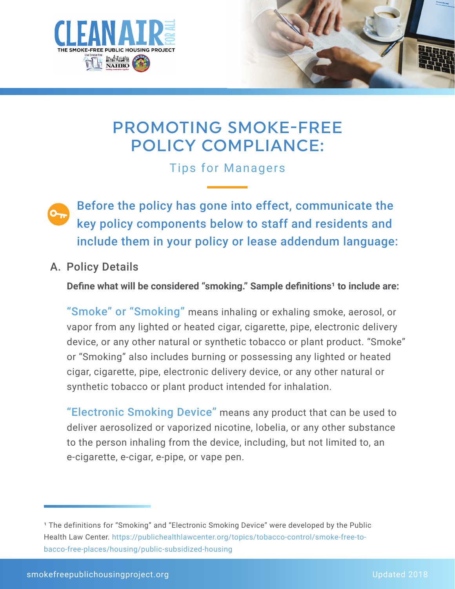



# PROMOTING SMOKE-FREE POLICY COMPLIANCE:

Tips for Managers

 Before the policy has gone into effect, communicate the key policy components below to staff and residents and include them in your policy or lease addendum language:

A. Policy Details

**Define what will be considered "smoking." Sample definitions<sup>1</sup> to include are:** 

"Smoke" or "Smoking" means inhaling or exhaling smoke, aerosol, or vapor from any lighted or heated cigar, cigarette, pipe, electronic delivery device, or any other natural or synthetic tobacco or plant product. "Smoke" or "Smoking" also includes burning or possessing any lighted or heated cigar, cigarette, pipe, electronic delivery device, or any other natural or synthetic tobacco or plant product intended for inhalation.

"Electronic Smoking Device" means any product that can be used to deliver aerosolized or vaporized nicotine, lobelia, or any other substance to the person inhaling from the device, including, but not limited to, an e-cigarette, e-cigar, e-pipe, or vape pen.

<sup>&</sup>lt;sup>1</sup> The definitions for "Smoking" and "Electronic Smoking Device" were developed by the Public Health Law Center. https://publichealthlawcenter.org/topics/tobacco-control/smoke-free-tobacco-free-places/housing/public-subsidized-housing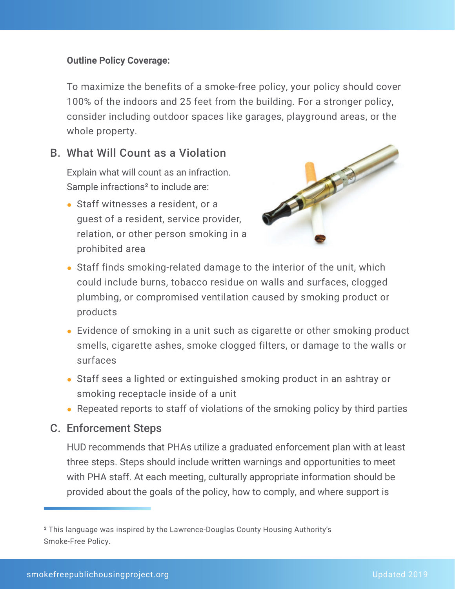#### **Outline Policy Coverage:**

To maximize the benefits of a smoke-free policy, your policy should cover 100% of the indoors and 25 feet from the building. For a stronger policy, consider including outdoor spaces like garages, playground areas, or the whole property.

#### B. What Will Count as a Violation

Explain what will count as an infraction. Sample infractions<sup>2</sup> to include are:

• Staff witnesses a resident, or a guest of a resident, service provider, relation, or other person smoking in a prohibited area



- Staff finds smoking-related damage to the interior of the unit, which could include burns, tobacco residue on walls and surfaces, clogged plumbing, or compromised ventilation caused by smoking product or products
- Evidence of smoking in a unit such as cigarette or other smoking product smells, cigarette ashes, smoke clogged filters, or damage to the walls or surfaces
- Staff sees a lighted or extinguished smoking product in an ashtray or smoking receptacle inside of a unit
- Repeated reports to staff of violations of the smoking policy by third parties

#### C. Enforcement Steps

HUD recommends that PHAs utilize a graduated enforcement plan with at least three steps. Steps should include written warnings and opportunities to meet with PHA staff. At each meeting, culturally appropriate information should be provided about the goals of the policy, how to comply, and where support is

² This language was inspired by the Lawrence-Douglas County Housing Authority's Smoke-Free Policy.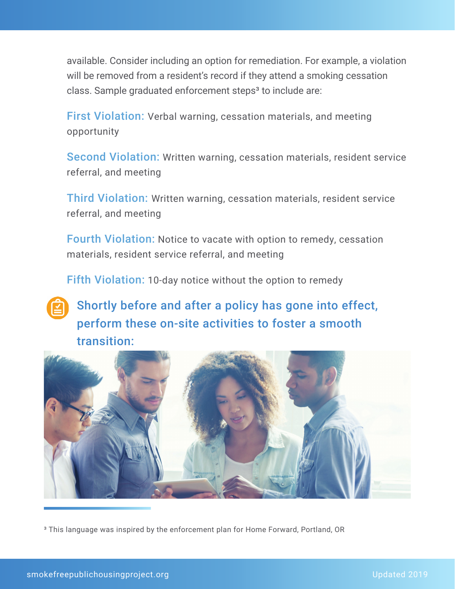available. Consider including an option for remediation. For example, a violation will be removed from a resident's record if they attend a smoking cessation class. Sample graduated enforcement steps<sup>3</sup> to include are:

First Violation: Verbal warning, cessation materials, and meeting opportunity

Second Violation: Written warning, cessation materials, resident service referral, and meeting

Third Violation: Written warning, cessation materials, resident service referral, and meeting

Fourth Violation: Notice to vacate with option to remedy, cessation materials, resident service referral, and meeting

Fifth Violation: 10-day notice without the option to remedy

## Shortly before and after a policy has gone into effect, perform these on-site activities to foster a smooth transition:



³ This language was inspired by the enforcement plan for Home Forward, Portland, OR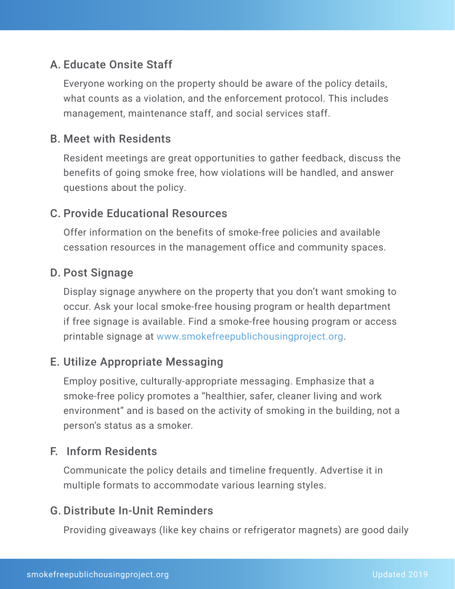### A. Educate Onsite Staff

Everyone working on the property should be aware of the policy details, what counts as a violation, and the enforcement protocol. This includes management, maintenance staff, and social services staff.

#### B. Meet with Residents

Resident meetings are great opportunities to gather feedback, discuss the benefits of going smoke free, how violations will be handled, and answer questions about the policy.

#### C. Provide Educational Resources

Offer information on the benefits of smoke-free policies and available cessation resources in the management office and community spaces.

#### D. Post Signage

Display signage anywhere on the property that you don't want smoking to occur. Ask your local smoke-free housing program or health department if free signage is available. Find a smoke-free housing program or access printable signage at www.smokefreepublichousingproject.org.

#### E. Utilize Appropriate Messaging

Employ positive, culturally-appropriate messaging. Emphasize that a smoke-free policy promotes a "healthier, safer, cleaner living and work environment" and is based on the activity of smoking in the building, not a person's status as a smoker.

#### F. Inform Residents

Communicate the policy details and timeline frequently. Advertise it in multiple formats to accommodate various learning styles.

#### G. Distribute In-Unit Reminders

Providing giveaways (like key chains or refrigerator magnets) are good daily